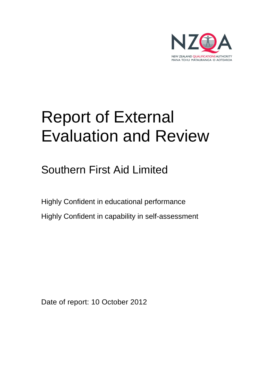

# Report of External Evaluation and Review

Southern First Aid Limited

Highly Confident in educational performance Highly Confident in capability in self-assessment

Date of report: 10 October 2012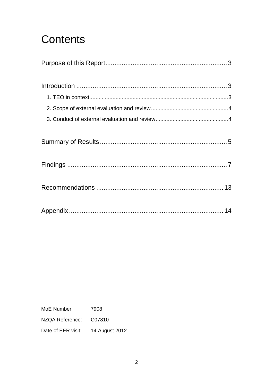## **Contents**

MoE Number: 7908 NZQA Reference: C07810 Date of EER visit: 14 August 2012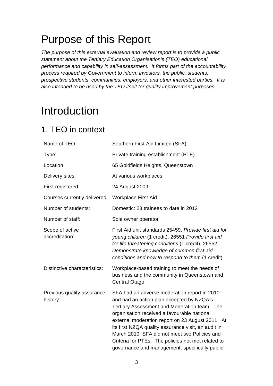## Purpose of this Report

The purpose of this external evaluation and review report is to provide a public statement about the Tertiary Education Organisation's (TEO) educational performance and capability in self-assessment. It forms part of the accountability process required by Government to inform investors, the public, students, prospective students, communities, employers, and other interested parties. It is also intended to be used by the TEO itself for quality improvement purposes.

## Introduction

### 1. TEO in context

| Name of TEO:                           | Southern First Aid Limited (SFA)                                                                                                                                                                                                                                                                                                                                                                                                                             |
|----------------------------------------|--------------------------------------------------------------------------------------------------------------------------------------------------------------------------------------------------------------------------------------------------------------------------------------------------------------------------------------------------------------------------------------------------------------------------------------------------------------|
| Type:                                  | Private training establishment (PTE)                                                                                                                                                                                                                                                                                                                                                                                                                         |
| Location:                              | 65 Goldfields Heights, Queenstown                                                                                                                                                                                                                                                                                                                                                                                                                            |
| Delivery sites:                        | At various workplaces                                                                                                                                                                                                                                                                                                                                                                                                                                        |
| First registered:                      | 24 August 2009                                                                                                                                                                                                                                                                                                                                                                                                                                               |
| Courses currently delivered            | <b>Workplace First Aid</b>                                                                                                                                                                                                                                                                                                                                                                                                                                   |
| Number of students:                    | Domestic: 23 trainees to date in 2012                                                                                                                                                                                                                                                                                                                                                                                                                        |
| Number of staff:                       | Sole owner operator                                                                                                                                                                                                                                                                                                                                                                                                                                          |
| Scope of active<br>accreditation:      | First Aid unit standards 25459, Provide first aid for<br>young children (1 credit), 26551 Provide first aid<br>for life threatening conditions (1 credit), 26552<br>Demonstrate knowledge of common first aid<br>conditions and how to respond to them (1 credit)                                                                                                                                                                                            |
| Distinctive characteristics:           | Workplace-based training to meet the needs of<br>business and the community in Queenstown and<br>Central Otago.                                                                                                                                                                                                                                                                                                                                              |
| Previous quality assurance<br>history: | SFA had an adverse moderation report in 2010<br>and had an action plan accepted by NZQA's<br>Tertiary Assessment and Moderation team. The<br>organisation received a favourable national<br>external moderation report on 23 August 2011. At<br>its first NZQA quality assurance visit, an audit in<br>March 2010, SFA did not meet two Policies and<br>Criteria for PTEs. The policies not met related to<br>governance and management, specifically public |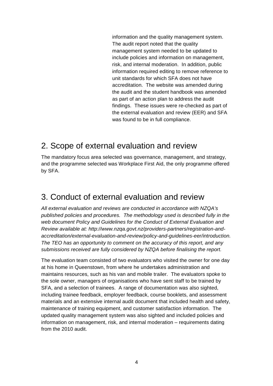information and the quality management system. The audit report noted that the quality management system needed to be updated to include policies and information on management, risk, and internal moderation. In addition, public information required editing to remove reference to unit standards for which SFA does not have accreditation. The website was amended during the audit and the student handbook was amended as part of an action plan to address the audit findings. These issues were re-checked as part of the external evaluation and review (EER) and SFA was found to be in full compliance.

### 2. Scope of external evaluation and review

The mandatory focus area selected was governance, management, and strategy, and the programme selected was Workplace First Aid, the only programme offered by SFA.

### 3. Conduct of external evaluation and review

All external evaluation and reviews are conducted in accordance with NZQA's published policies and procedures. The methodology used is described fully in the web document Policy and Guidelines for the Conduct of External Evaluation and Review available at: http://www.nzqa.govt.nz/providers-partners/registration-andaccreditation/external-evaluation-and-review/policy-and-guidelines-eer/introduction. The TEO has an opportunity to comment on the accuracy of this report, and any submissions received are fully considered by NZQA before finalising the report.

The evaluation team consisted of two evaluators who visited the owner for one day at his home in Queenstown, from where he undertakes administration and maintains resources, such as his van and mobile trailer. The evaluators spoke to the sole owner, managers of organisations who have sent staff to be trained by SFA, and a selection of trainees. A range of documentation was also sighted, including trainee feedback, employer feedback, course booklets, and assessment materials and an extensive internal audit document that included health and safety, maintenance of training equipment, and customer satisfaction information. The updated quality management system was also sighted and included policies and information on management, risk, and internal moderation – requirements dating from the 2010 audit.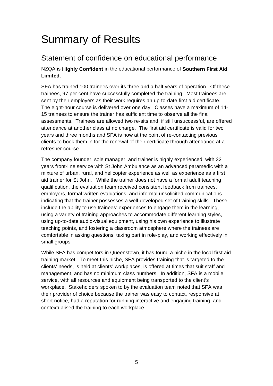## Summary of Results

### Statement of confidence on educational performance

NZQA is **Highly Confident** in the educational performance of **Southern First Aid Limited.**

SFA has trained 100 trainees over its three and a half years of operation. Of these trainees, 97 per cent have successfully completed the training. Most trainees are sent by their employers as their work requires an up-to-date first aid certificate. The eight-hour course is delivered over one day. Classes have a maximum of 14- 15 trainees to ensure the trainer has sufficient time to observe all the final assessments. Trainees are allowed two re-sits and, if still unsuccessful, are offered attendance at another class at no charge. The first aid certificate is valid for two years and three months and SFA is now at the point of re-contacting previous clients to book them in for the renewal of their certificate through attendance at a refresher course.

The company founder, sole manager, and trainer is highly experienced, with 32 years front-line service with St John Ambulance as an advanced paramedic with a mixture of urban, rural, and helicopter experience as well as experience as a first aid trainer for St John. While the trainer does not have a formal adult teaching qualification, the evaluation team received consistent feedback from trainees, employers, formal written evaluations, and informal unsolicited communications indicating that the trainer possesses a well-developed set of training skills. These include the ability to use trainees' experiences to engage them in the learning, using a variety of training approaches to accommodate different learning styles, using up-to-date audio-visual equipment, using his own experience to illustrate teaching points, and fostering a classroom atmosphere where the trainees are comfortable in asking questions, taking part in role-play, and working effectively in small groups.

While SFA has competitors in Queenstown, it has found a niche in the local first aid training market. To meet this niche, SFA provides training that is targeted to the clients' needs, is held at clients' workplaces, is offered at times that suit staff and management, and has no minimum class numbers. In addition, SFA is a mobile service, with all resources and equipment being transported to the client's workplace. Stakeholders spoken to by the evaluation team noted that SFA was their provider of choice because the trainer was easy to contact, responsive at short notice, had a reputation for running interactive and engaging training, and contextualised the training to each workplace.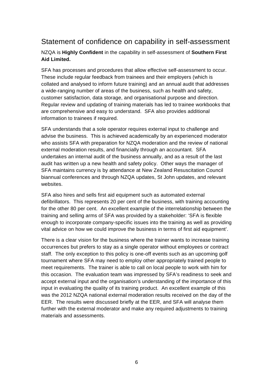### Statement of confidence on capability in self-assessment

#### NZQA is **Highly Confident** in the capability in self-assessment of **Southern First Aid Limited.**

SFA has processes and procedures that allow effective self-assessment to occur. These include regular feedback from trainees and their employers (which is collated and analysed to inform future training) and an annual audit that addresses a wide-ranging number of areas of the business, such as health and safety, customer satisfaction, data storage, and organisational purpose and direction. Regular review and updating of training materials has led to trainee workbooks that are comprehensive and easy to understand. SFA also provides additional information to trainees if required.

SFA understands that a sole operator requires external input to challenge and advise the business. This is achieved academically by an experienced moderator who assists SFA with preparation for NZQA moderation and the review of national external moderation results, and financially through an accountant. SFA undertakes an internal audit of the business annually, and as a result of the last audit has written up a new health and safety policy. Other ways the manager of SFA maintains currency is by attendance at New Zealand Resuscitation Council biannual conferences and through NZQA updates, St John updates, and relevant websites.

SFA also hires and sells first aid equipment such as automated external defibrillators. This represents 20 per cent of the business, with training accounting for the other 80 per cent. An excellent example of the interrelationship between the training and selling arms of SFA was provided by a stakeholder: 'SFA is flexible enough to incorporate company-specific issues into the training as well as providing vital advice on how we could improve the business in terms of first aid equipment'.

There is a clear vision for the business where the trainer wants to increase training occurrences but prefers to stay as a single operator without employees or contract staff. The only exception to this policy is one-off events such as an upcoming golf tournament where SFA may need to employ other appropriately trained people to meet requirements. The trainer is able to call on local people to work with him for this occasion. The evaluation team was impressed by SFA's readiness to seek and accept external input and the organisation's understanding of the importance of this input in evaluating the quality of its training product. An excellent example of this was the 2012 NZQA national external moderation results received on the day of the EER. The results were discussed briefly at the EER, and SFA will analyse them further with the external moderator and make any required adjustments to training materials and assessments.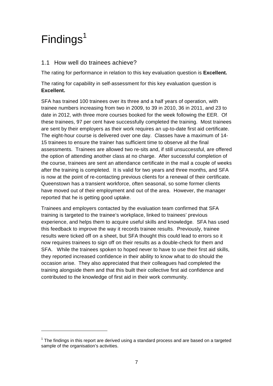## $Findings<sup>1</sup>$

 $\overline{a}$ 

#### 1.1 How well do trainees achieve?

The rating for performance in relation to this key evaluation question is **Excellent.**

The rating for capability in self-assessment for this key evaluation question is **Excellent.**

SFA has trained 100 trainees over its three and a half years of operation, with trainee numbers increasing from two in 2009, to 39 in 2010, 36 in 2011, and 23 to date in 2012, with three more courses booked for the week following the EER. Of these trainees, 97 per cent have successfully completed the training. Most trainees are sent by their employers as their work requires an up-to-date first aid certificate. The eight-hour course is delivered over one day. Classes have a maximum of 14- 15 trainees to ensure the trainer has sufficient time to observe all the final assessments. Trainees are allowed two re-sits and, if still unsuccessful, are offered the option of attending another class at no charge. After successful completion of the course, trainees are sent an attendance certificate in the mail a couple of weeks after the training is completed. It is valid for two years and three months, and SFA is now at the point of re-contacting previous clients for a renewal of their certificate. Queenstown has a transient workforce, often seasonal, so some former clients have moved out of their employment and out of the area. However, the manager reported that he is getting good uptake.

Trainees and employers contacted by the evaluation team confirmed that SFA training is targeted to the trainee's workplace, linked to trainees' previous experience, and helps them to acquire useful skills and knowledge. SFA has used this feedback to improve the way it records trainee results. Previously, trainee results were ticked off on a sheet, but SFA thought this could lead to errors so it now requires trainees to sign off on their results as a double-check for them and SFA. While the trainees spoken to hoped never to have to use their first aid skills, they reported increased confidence in their ability to know what to do should the occasion arise. They also appreciated that their colleagues had completed the training alongside them and that this built their collective first aid confidence and contributed to the knowledge of first aid in their work community.

 $1$  The findings in this report are derived using a standard process and are based on a targeted sample of the organisation's activities.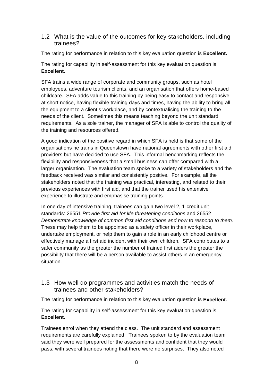#### 1.2 What is the value of the outcomes for key stakeholders, including trainees?

The rating for performance in relation to this key evaluation question is **Excellent.**

The rating for capability in self-assessment for this key evaluation question is **Excellent.**

SFA trains a wide range of corporate and community groups, such as hotel employees, adventure tourism clients, and an organisation that offers home-based childcare. SFA adds value to this training by being easy to contact and responsive at short notice, having flexible training days and times, having the ability to bring all the equipment to a client's workplace, and by contextualising the training to the needs of the client. Sometimes this means teaching beyond the unit standard requirements. As a sole trainer, the manager of SFA is able to control the quality of the training and resources offered.

A good indication of the positive regard in which SFA is held is that some of the organisations he trains in Queenstown have national agreements with other first aid providers but have decided to use SFA. This informal benchmarking reflects the flexibility and responsiveness that a small business can offer compared with a larger organisation. The evaluation team spoke to a variety of stakeholders and the feedback received was similar and consistently positive. For example, all the stakeholders noted that the training was practical, interesting, and related to their previous experiences with first aid, and that the trainer used his extensive experience to illustrate and emphasise training points.

In one day of intensive training, trainees can gain two level 2, 1-credit unit standards: 26551 Provide first aid for life threatening conditions and 26552 Demonstrate knowledge of common first aid conditions and how to respond to them. These may help them to be appointed as a safety officer in their workplace, undertake employment, or help them to gain a role in an early childhood centre or effectively manage a first aid incident with their own children. SFA contributes to a safer community as the greater the number of trained first aiders the greater the possibility that there will be a person available to assist others in an emergency situation.

#### 1.3 How well do programmes and activities match the needs of trainees and other stakeholders?

The rating for performance in relation to this key evaluation question is **Excellent.**

The rating for capability in self-assessment for this key evaluation question is **Excellent.**

Trainees enrol when they attend the class. The unit standard and assessment requirements are carefully explained. Trainees spoken to by the evaluation team said they were well prepared for the assessments and confident that they would pass, with several trainees noting that there were no surprises. They also noted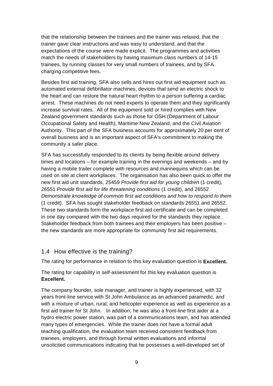that the relationship between the trainees and the trainer was relaxed, that the trainer gave clear instructions and was easy to understand, and that the expectations of the course were made explicit. The programmes and activities match the needs of stakeholders by having maximum class numbers of 14-15 trainees, by running classes for very small numbers of trainees, and by SFA charging competitive fees.

Besides first aid training, SFA also sells and hires out first aid equipment such as automated external defibrillator machines, devices that send an electric shock to the heart and can restore the natural heart rhythm to a person suffering a cardiac arrest. These machines do not need experts to operate them and they significantly increase survival rates. All of the equipment sold or hired complies with New Zealand government standards such as those for OSH (Department of Labour Occupational Safety and Health), Maritime New Zealand, and the Civil Aviation Authority. This part of the SFA business accounts for approximately 20 per cent of overall business and is an important aspect of SFA's commitment to making the community a safer place.

SFA has successfully responded to its clients by being flexible around delivery times and locations – for example training in the evenings and weekends – and by having a mobile trailer complete with resources and mannequins which can be used on site at client workplaces. The organisation has also been quick to offer the new first aid unit standards, 25459 Provide first aid for young children (1 credit), 26551 Provide first aid for life threatening conditions (1 credit), and 26552 Demonstrate knowledge of common first aid conditions and how to respond to them (1 credit). SFA has sought stakeholder feedback on standards 26551 and 26552. These two standards form the workplace first aid certificate and can be completed in one day compared with the two days required for the standards they replace. Stakeholder feedback from both trainees and their employers has been positive – the new standards are more appropriate for community first aid requirements.

#### 1.4 How effective is the training?

The rating for performance in relation to this key evaluation question is **Excellent.**

The rating for capability in self-assessment for this key evaluation question is **Excellent.**

The company founder, sole manager, and trainer is highly experienced, with 32 years front-line service with St John Ambulance as an advanced paramedic, and with a mixture of urban, rural, and helicopter experience as well as experience as a first aid trainer for St John. In addition, he was also a front-line first aider at a hydro electric power station, was part of a communications team, and has attended many types of emergencies. While the trainer does not have a formal adult teaching qualification, the evaluation team received consistent feedback from trainees, employers, and through formal written evaluations and informal unsolicited communications indicating that he possesses a well-developed set of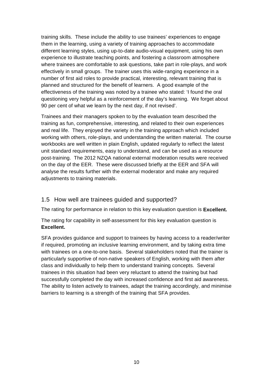training skills. These include the ability to use trainees' experiences to engage them in the learning, using a variety of training approaches to accommodate different learning styles, using up-to-date audio-visual equipment, using his own experience to illustrate teaching points, and fostering a classroom atmosphere where trainees are comfortable to ask questions, take part in role-plays, and work effectively in small groups. The trainer uses this wide-ranging experience in a number of first aid roles to provide practical, interesting, relevant training that is planned and structured for the benefit of learners. A good example of the effectiveness of the training was noted by a trainee who stated: 'I found the oral questioning very helpful as a reinforcement of the day's learning. We forget about 90 per cent of what we learn by the next day, if not revised'.

Trainees and their managers spoken to by the evaluation team described the training as fun, comprehensive, interesting, and related to their own experiences and real life. They enjoyed the variety in the training approach which included working with others, role-plays, and understanding the written material. The course workbooks are well written in plain English, updated regularly to reflect the latest unit standard requirements, easy to understand, and can be used as a resource post-training. The 2012 NZQA national external moderation results were received on the day of the EER. These were discussed briefly at the EER and SFA will analyse the results further with the external moderator and make any required adjustments to training materials.

#### 1.5 How well are trainees guided and supported?

The rating for performance in relation to this key evaluation question is **Excellent.**

The rating for capability in self-assessment for this key evaluation question is **Excellent.**

SFA provides guidance and support to trainees by having access to a reader/writer if required, promoting an inclusive learning environment, and by taking extra time with trainees on a one-to-one basis. Several stakeholders noted that the trainer is particularly supportive of non-native speakers of English, working with them after class and individually to help them to understand training concepts. Several trainees in this situation had been very reluctant to attend the training but had successfully completed the day with increased confidence and first aid awareness. The ability to listen actively to trainees, adapt the training accordingly, and minimise barriers to learning is a strength of the training that SFA provides.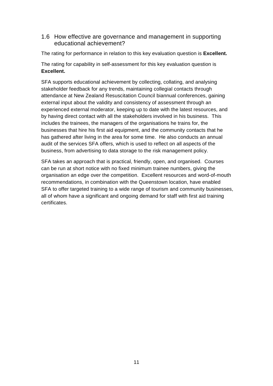#### 1.6 How effective are governance and management in supporting educational achievement?

The rating for performance in relation to this key evaluation question is **Excellent.**

The rating for capability in self-assessment for this key evaluation question is **Excellent.**

SFA supports educational achievement by collecting, collating, and analysing stakeholder feedback for any trends, maintaining collegial contacts through attendance at New Zealand Resuscitation Council biannual conferences, gaining external input about the validity and consistency of assessment through an experienced external moderator, keeping up to date with the latest resources, and by having direct contact with all the stakeholders involved in his business. This includes the trainees, the managers of the organisations he trains for, the businesses that hire his first aid equipment, and the community contacts that he has gathered after living in the area for some time. He also conducts an annual audit of the services SFA offers, which is used to reflect on all aspects of the business, from advertising to data storage to the risk management policy.

SFA takes an approach that is practical, friendly, open, and organised. Courses can be run at short notice with no fixed minimum trainee numbers, giving the organisation an edge over the competition. Excellent resources and word-of-mouth recommendations, in combination with the Queenstown location, have enabled SFA to offer targeted training to a wide range of tourism and community businesses, all of whom have a significant and ongoing demand for staff with first aid training certificates.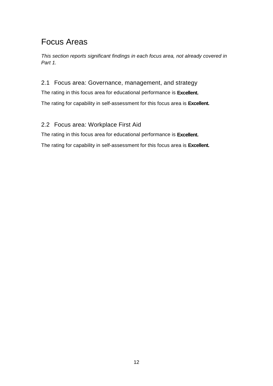### Focus Areas

This section reports significant findings in each focus area, not already covered in Part 1.

#### 2.1 Focus area: Governance, management, and strategy

The rating in this focus area for educational performance is **Excellent.** The rating for capability in self-assessment for this focus area is **Excellent.** 

#### 2.2 Focus area: Workplace First Aid

The rating in this focus area for educational performance is **Excellent.**

The rating for capability in self-assessment for this focus area is **Excellent.**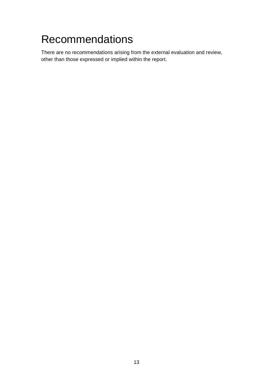## Recommendations

There are no recommendations arising from the external evaluation and review, other than those expressed or implied within the report.